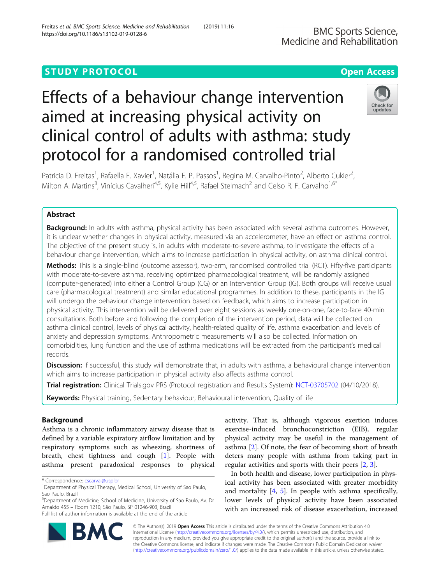# **STUDY PROTOCOL CONSUMING THE CONSUMING OPEN ACCESS**

# Effects of a behaviour change intervention aimed at increasing physical activity on clinical control of adults with asthma: study protocol for a randomised controlled trial



Patricia D. Freitas<sup>1</sup>, Rafaella F. Xavier<sup>1</sup>, Natália F. P. Passos<sup>1</sup>, Regina M. Carvalho-Pinto<sup>2</sup>, Alberto Cukier<sup>2</sup> , Milton A. Martins<sup>3</sup>, Vinícius Cavalheri<sup>4,5</sup>, Kylie Hill<sup>4,5</sup>, Rafael Stelmach<sup>2</sup> and Celso R. F. Carvalho<sup>1,6\*</sup>

# Abstract

**Background:** In adults with asthma, physical activity has been associated with several asthma outcomes. However, it is unclear whether changes in physical activity, measured via an accelerometer, have an effect on asthma control. The objective of the present study is, in adults with moderate-to-severe asthma, to investigate the effects of a behaviour change intervention, which aims to increase participation in physical activity, on asthma clinical control.

Methods: This is a single-blind (outcome assessor), two-arm, randomised controlled trial (RCT). Fifty-five participants with moderate-to-severe asthma, receiving optimized pharmacological treatment, will be randomly assigned (computer-generated) into either a Control Group (CG) or an Intervention Group (IG). Both groups will receive usual care (pharmacological treatment) and similar educational programmes. In addition to these, participants in the IG will undergo the behaviour change intervention based on feedback, which aims to increase participation in physical activity. This intervention will be delivered over eight sessions as weekly one-on-one, face-to-face 40-min consultations. Both before and following the completion of the intervention period, data will be collected on asthma clinical control, levels of physical activity, health-related quality of life, asthma exacerbation and levels of anxiety and depression symptoms. Anthropometric measurements will also be collected. Information on comorbidities, lung function and the use of asthma medications will be extracted from the participant's medical records.

Discussion: If successful, this study will demonstrate that, in adults with asthma, a behavioural change intervention which aims to increase participation in physical activity also affects asthma control.

Trial registration: Clinical Trials.gov PRS (Protocol registration and Results System): [NCT-03705702](https://clinicaltrials.gov/ct2/show/NCT03705702?term=NCT03705702&cond=asthma&cntry=BR&city=S%C3%A3o+Paulo&rank=1) (04/10/2018).

Keywords: Physical training, Sedentary behaviour, Behavioural intervention, Quality of life

# Background

Asthma is a chronic inflammatory airway disease that is defined by a variable expiratory airflow limitation and by respiratory symptoms such as wheezing, shortness of breath, chest tightness and cough [[1\]](#page-7-0). People with asthma present paradoxical responses to physical

<sup>6</sup>Department of Medicine, School of Medicine, University of Sao Paulo, Av. Dr Arnaldo 455 – Room 1210, São Paulo, SP 01246-903, Brazil Full list of author information is available at the end of the article

activity. That is, although vigorous exertion induces exercise-induced bronchoconstriction (EIB), regular physical activity may be useful in the management of asthma [\[2\]](#page-7-0). Of note, the fear of becoming short of breath deters many people with asthma from taking part in regular activities and sports with their peers [[2,](#page-7-0) [3\]](#page-7-0).

In both health and disease, lower participation in physical activity has been associated with greater morbidity and mortality [\[4](#page-7-0), [5](#page-7-0)]. In people with asthma specifically, lower levels of physical activity have been associated with an increased risk of disease exacerbation, increased



© The Author(s). 2019 **Open Access** This article is distributed under the terms of the Creative Commons Attribution 4.0 International License [\(http://creativecommons.org/licenses/by/4.0/](http://creativecommons.org/licenses/by/4.0/)), which permits unrestricted use, distribution, and reproduction in any medium, provided you give appropriate credit to the original author(s) and the source, provide a link to the Creative Commons license, and indicate if changes were made. The Creative Commons Public Domain Dedication waiver [\(http://creativecommons.org/publicdomain/zero/1.0/](http://creativecommons.org/publicdomain/zero/1.0/)) applies to the data made available in this article, unless otherwise stated.

<sup>\*</sup> Correspondence: [cscarval@usp.br](mailto:cscarval@usp.br) <sup>1</sup>

<sup>&</sup>lt;sup>1</sup>Department of Physical Therapy, Medical School, University of Sao Paulo, Sao Paulo, Brazil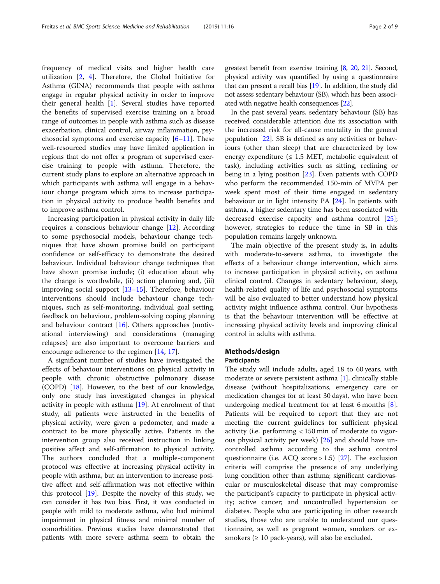frequency of medical visits and higher health care utilization [[2,](#page-7-0) [4\]](#page-7-0). Therefore, the Global Initiative for Asthma (GINA) recommends that people with asthma engage in regular physical activity in order to improve their general health [\[1](#page-7-0)]. Several studies have reported the benefits of supervised exercise training on a broad range of outcomes in people with asthma such as disease exacerbation, clinical control, airway inflammation, psychosocial symptoms and exercise capacity  $[6-11]$  $[6-11]$  $[6-11]$  $[6-11]$  $[6-11]$ . These well-resourced studies may have limited application in regions that do not offer a program of supervised exercise training to people with asthma. Therefore, the current study plans to explore an alternative approach in which participants with asthma will engage in a behaviour change program which aims to increase participation in physical activity to produce health benefits and to improve asthma control.

Increasing participation in physical activity in daily life requires a conscious behaviour change [[12](#page-7-0)]. According to some psychosocial models, behaviour change techniques that have shown promise build on participant confidence or self-efficacy to demonstrate the desired behaviour. Individual behaviour change techniques that have shown promise include; (i) education about why the change is worthwhile, (ii) action planning and, (iii) improving social support  $[13-15]$  $[13-15]$  $[13-15]$  $[13-15]$ . Therefore, behaviour interventions should include behaviour change techniques, such as self-monitoring, individual goal setting, feedback on behaviour, problem-solving coping planning and behaviour contract  $[16]$ . Others approaches (motivational interviewing) and considerations (managing relapses) are also important to overcome barriers and encourage adherence to the regimen [\[14](#page-7-0), [17](#page-7-0)].

A significant number of studies have investigated the effects of behaviour interventions on physical activity in people with chronic obstructive pulmonary disease (COPD) [[18\]](#page-7-0). However, to the best of our knowledge, only one study has investigated changes in physical activity in people with asthma [[19](#page-7-0)]. At enrolment of that study, all patients were instructed in the benefits of physical activity, were given a pedometer, and made a contract to be more physically active. Patients in the intervention group also received instruction in linking positive affect and self-affirmation to physical activity. The authors concluded that a multiple-component protocol was effective at increasing physical activity in people with asthma, but an intervention to increase positive affect and self-affirmation was not effective within this protocol  $[19]$  $[19]$  $[19]$ . Despite the novelty of this study, we can consider it has two bias. First, it was conducted in people with mild to moderate asthma, who had minimal impairment in physical fitness and minimal number of comorbidities. Previous studies have demonstrated that patients with more severe asthma seem to obtain the greatest benefit from exercise training [\[8,](#page-7-0) [20,](#page-7-0) [21](#page-7-0)]. Second, physical activity was quantified by using a questionnaire that can present a recall bias [\[19\]](#page-7-0). In addition, the study did not assess sedentary behaviour (SB), which has been associated with negative health consequences [\[22\]](#page-7-0).

In the past several years, sedentary behaviour (SB) has received considerable attention due its association with the increased risk for all-cause mortality in the general population  $[22]$  $[22]$ . SB is defined as any activities or behaviours (other than sleep) that are characterized by low energy expenditure ( $\leq 1.5$  MET, metabolic equivalent of task), including activities such as sitting, reclining or being in a lying position [[23](#page-7-0)]. Even patients with COPD who perform the recommended 150-min of MVPA per week spent most of their time engaged in sedentary behaviour or in light intensity PA [\[24](#page-7-0)]. In patients with asthma, a higher sedentary time has been associated with decreased exercise capacity and asthma control [\[25](#page-7-0)]; however, strategies to reduce the time in SB in this population remains largely unknown.

The main objective of the present study is, in adults with moderate-to-severe asthma, to investigate the effects of a behaviour change intervention, which aims to increase participation in physical activity, on asthma clinical control. Changes in sedentary behaviour, sleep, health-related quality of life and psychosocial symptoms will be also evaluated to better understand how physical activity might influence asthma control. Our hypothesis is that the behaviour intervention will be effective at increasing physical activity levels and improving clinical control in adults with asthma.

# Methods/design

# Participants

The study will include adults, aged 18 to 60 years, with moderate or severe persistent asthma [\[1](#page-7-0)], clinically stable disease (without hospitalizations, emergency care or medication changes for at least 30 days), who have been undergoing medical treatment for at least 6 months [\[8](#page-7-0)]. Patients will be required to report that they are not meeting the current guidelines for sufficient physical activity (i.e. performing < 150 min of moderate to vigorous physical activity per week) [\[26](#page-7-0)] and should have uncontrolled asthma according to the asthma control questionnaire (i.e. ACQ score  $> 1.5$ ) [[27\]](#page-7-0). The exclusion criteria will comprise the presence of any underlying lung condition other than asthma; significant cardiovascular or musculoskeletal disease that may compromise the participant's capacity to participate in physical activity; active cancer; and uncontrolled hypertension or diabetes. People who are participating in other research studies, those who are unable to understand our questionnaire, as well as pregnant women, smokers or exsmokers  $(≥ 10$  pack-years), will also be excluded.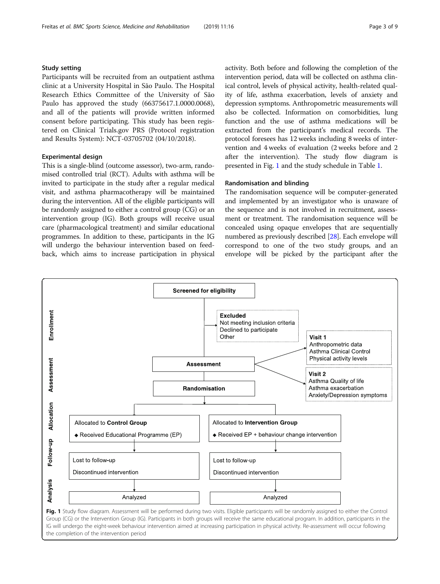# Study setting

Participants will be recruited from an outpatient asthma clinic at a University Hospital in São Paulo. The Hospital Research Ethics Committee of the University of São Paulo has approved the study (66375617.1.0000.0068), and all of the patients will provide written informed consent before participating. This study has been registered on Clinical Trials.gov PRS (Protocol registration and Results System): NCT-03705702 (04/10/2018).

## Experimental design

This is a single-blind (outcome assessor), two-arm, randomised controlled trial (RCT). Adults with asthma will be invited to participate in the study after a regular medical visit, and asthma pharmacotherapy will be maintained during the intervention. All of the eligible participants will be randomly assigned to either a control group (CG) or an intervention group (IG). Both groups will receive usual care (pharmacological treatment) and similar educational programmes. In addition to these, participants in the IG will undergo the behaviour intervention based on feedback, which aims to increase participation in physical activity. Both before and following the completion of the intervention period, data will be collected on asthma clinical control, levels of physical activity, health-related quality of life, asthma exacerbation, levels of anxiety and depression symptoms. Anthropometric measurements will also be collected. Information on comorbidities, lung function and the use of asthma medications will be extracted from the participant's medical records. The protocol foresees has 12 weeks including 8 weeks of intervention and 4 weeks of evaluation (2 weeks before and 2 after the intervention). The study flow diagram is presented in Fig. 1 and the study schedule in Table [1](#page-3-0).

# Randomisation and blinding

The randomisation sequence will be computer-generated and implemented by an investigator who is unaware of the sequence and is not involved in recruitment, assessment or treatment. The randomisation sequence will be concealed using opaque envelopes that are sequentially numbered as previously described [[28](#page-7-0)]. Each envelope will correspond to one of the two study groups, and an envelope will be picked by the participant after the



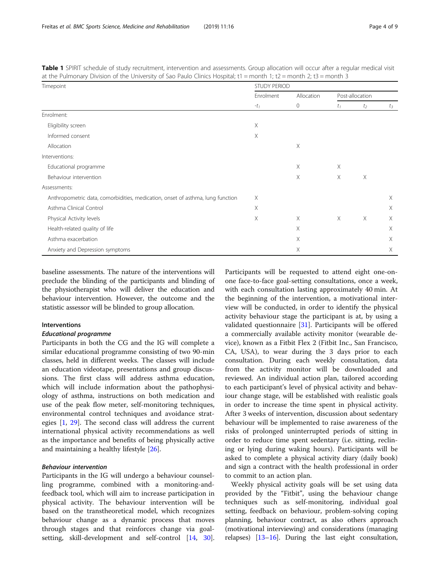| Timepoint                                                                      | <b>STUDY PERIOD</b> |                              |                 |          |          |
|--------------------------------------------------------------------------------|---------------------|------------------------------|-----------------|----------|----------|
|                                                                                | Enrolment<br>$-t1$  | Allocation<br>$\overline{0}$ | Post-allocation |          |          |
|                                                                                |                     |                              | $t_I$           | $t_2$    | $t_3$    |
| Enrolment:                                                                     |                     |                              |                 |          |          |
| Eligibility screen                                                             | X                   |                              |                 |          |          |
| Informed consent                                                               | X                   |                              |                 |          |          |
| Allocation                                                                     |                     | Χ                            |                 |          |          |
| Interventions:                                                                 |                     |                              |                 |          |          |
| Educational programme                                                          |                     | Χ                            | Χ               |          |          |
| Behaviour intervention                                                         |                     | X                            | X               | $\times$ |          |
| Assessments:                                                                   |                     |                              |                 |          |          |
| Anthropometric data, comorbidities, medication, onset of asthma, lung function | Χ                   |                              |                 |          | X        |
| Asthma Clinical Control                                                        | Χ                   |                              |                 |          | $\times$ |
| Physical Activity levels                                                       | X                   | $\times$                     | $\times$        | $\times$ | $\times$ |
| Health-related quality of life                                                 |                     | X                            |                 |          | X        |
| Asthma exacerbation                                                            |                     | Χ                            |                 |          | X        |
| Anxiety and Depression symptoms                                                |                     | Χ                            |                 |          | X        |

<span id="page-3-0"></span>Table 1 SPIRIT schedule of study recruitment, intervention and assessments. Group allocation will occur after a regular medical visit at the Pulmonary Division of the University of Sao Paulo Clinics Hospital; t1 = month 1; t2 = month 2; t3 = month 3

baseline assessments. The nature of the interventions will preclude the blinding of the participants and blinding of the physiotherapist who will deliver the education and behaviour intervention. However, the outcome and the statistic assessor will be blinded to group allocation.

## Interventions

#### Educational programme

Participants in both the CG and the IG will complete a similar educational programme consisting of two 90-min classes, held in different weeks. The classes will include an education videotape, presentations and group discussions. The first class will address asthma education, which will include information about the pathophysiology of asthma, instructions on both medication and use of the peak flow meter, self-monitoring techniques, environmental control techniques and avoidance strategies [[1,](#page-7-0) [29\]](#page-7-0). The second class will address the current international physical activity recommendations as well as the importance and benefits of being physically active and maintaining a healthy lifestyle [\[26\]](#page-7-0).

# Behaviour intervention

Participants in the IG will undergo a behaviour counselling programme, combined with a monitoring-andfeedback tool, which will aim to increase participation in physical activity. The behaviour intervention will be based on the transtheoretical model, which recognizes behaviour change as a dynamic process that moves through stages and that reinforces change via goalsetting, skill-development and self-control [\[14](#page-7-0), [30](#page-7-0)].

Participants will be requested to attend eight one-onone face-to-face goal-setting consultations, once a week, with each consultation lasting approximately 40 min. At the beginning of the intervention, a motivational interview will be conducted, in order to identify the physical activity behaviour stage the participant is at, by using a validated questionnaire [\[31](#page-7-0)]. Participants will be offered a commercially available activity monitor (wearable device), known as a Fitbit Flex 2 (Fitbit Inc., San Francisco, CA, USA), to wear during the 3 days prior to each consultation. During each weekly consultation, data from the activity monitor will be downloaded and reviewed. An individual action plan, tailored according to each participant's level of physical activity and behaviour change stage, will be established with realistic goals in order to increase the time spent in physical activity. After 3 weeks of intervention, discussion about sedentary behaviour will be implemented to raise awareness of the risks of prolonged uninterrupted periods of sitting in order to reduce time spent sedentary (i.e. sitting, reclining or lying during waking hours). Participants will be asked to complete a physical activity diary (daily book) and sign a contract with the health professional in order to commit to an action plan.

Weekly physical activity goals will be set using data provided by the "Fitbit", using the behaviour change techniques such as self-monitoring, individual goal setting, feedback on behaviour, problem-solving coping planning, behaviour contract, as also others approach (motivational interviewing) and considerations (managing relapses) [\[13](#page-7-0)–[16](#page-7-0)]. During the last eight consultation,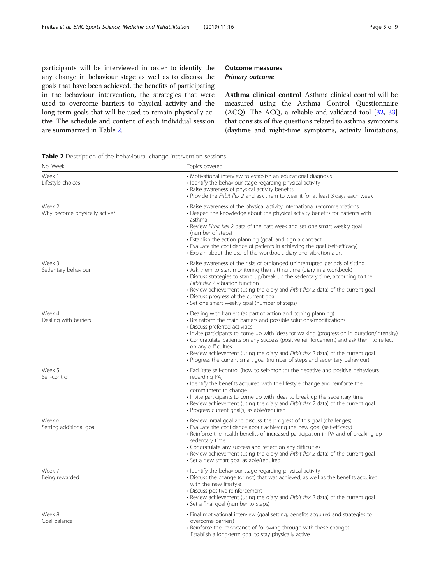participants will be interviewed in order to identify the any change in behaviour stage as well as to discuss the goals that have been achieved, the benefits of participating in the behaviour intervention, the strategies that were used to overcome barriers to physical activity and the long-term goals that will be used to remain physically active. The schedule and content of each individual session are summarized in Table 2.

# Outcome measures Primary outcome

Asthma clinical control Asthma clinical control will be measured using the Asthma Control Questionnaire (ACQ). The ACQ, a reliable and validated tool [[32](#page-7-0), [33](#page-7-0)] that consists of five questions related to asthma symptoms (daytime and night-time symptoms, activity limitations,

Table 2 Description of the behavioural change intervention sessions

| No. Week                                 | Topics covered                                                                                                                                                                                                                                                                                                                                                                                                                                                                                                                                                |  |  |
|------------------------------------------|---------------------------------------------------------------------------------------------------------------------------------------------------------------------------------------------------------------------------------------------------------------------------------------------------------------------------------------------------------------------------------------------------------------------------------------------------------------------------------------------------------------------------------------------------------------|--|--|
| Week 1:<br>Lifestyle choices             | • Motivational interview to establish an educational diagnosis<br>• Identify the behaviour stage regarding physical activity<br>· Raise awareness of physical activity benefits<br>. Provide the Fitbit flex 2 and ask them to wear it for at least 3 days each week                                                                                                                                                                                                                                                                                          |  |  |
| Week 2:<br>Why become physically active? | • Raise awareness of the physical activity international recommendations<br>• Deepen the knowledge about the physical activity benefits for patients with<br>asthma<br>• Review Fitbit flex 2 data of the past week and set one smart weekly goal<br>(number of steps)<br>• Establish the action planning (goal) and sign a contract<br>· Evaluate the confidence of patients in achieving the goal (self-efficacy)<br>• Explain about the use of the workbook, diary and vibration alert                                                                     |  |  |
| Week 3:<br>Sedentary behaviour           | • Raise awareness of the risks of prolonged uninterrupted periods of sitting<br>• Ask them to start monitoring their sitting time (diary in a workbook)<br>• Discuss strategies to stand up/break up the sedentary time, according to the<br>Fitbit flex 2 vibration function<br>• Review achievement (using the diary and Fitbit flex 2 data) of the current goal<br>• Discuss progress of the current goal<br>· Set one smart weekly goal (number of steps)                                                                                                 |  |  |
| Week 4:<br>Dealing with barriers         | • Dealing with barriers (as part of action and coping planning)<br>• Brainstorm the main barriers and possible solutions/modifications<br>· Discuss preferred activities<br>· Invite participants to come up with ideas for walking (progression in duration/intensity)<br>• Congratulate patients on any success (positive reinforcement) and ask them to reflect<br>on any difficulties<br>• Review achievement (using the diary and Fitbit flex 2 data) of the current goal<br>• Progress the current smart goal (number of steps and sedentary behaviour) |  |  |
| Week 5:<br>Self-control                  | • Facilitate self-control (how to self-monitor the negative and positive behaviours<br>regarding PA)<br>• Identify the benefits acquired with the lifestyle change and reinforce the<br>commitment to change<br>· Invite participants to come up with ideas to break up the sedentary time<br>• Review achievement (using the diary and Fitbit flex 2 data) of the current goal<br>· Progress current goal(s) as able/required                                                                                                                                |  |  |
| Week 6:<br>Setting additional goal       | • Review initial goal and discuss the progress of this goal (challenges)<br>• Evaluate the confidence about achieving the new goal (self-efficacy)<br>• Reinforce the health benefits of increased participation in PA and of breaking up<br>sedentary time<br>· Congratulate any success and reflect on any difficulties<br>• Review achievement (using the diary and Fitbit flex 2 data) of the current goal<br>• Set a new smart goal as able/required                                                                                                     |  |  |
| Week 7:<br>Being rewarded                | • Identify the behaviour stage regarding physical activity<br>• Discuss the change (or not) that was achieved, as well as the benefits acquired<br>with the new lifestyle<br>• Discuss positive reinforcement<br>• Review achievement (using the diary and Fitbit flex 2 data) of the current goal<br>• Set a final goal (number to steps)                                                                                                                                                                                                                    |  |  |
| Week 8:<br>Goal balance                  | • Final motivational interview (goal setting, benefits acquired and strategies to<br>overcome barriers)<br>· Reinforce the importance of following through with these changes<br>Establish a long-term goal to stay physically active                                                                                                                                                                                                                                                                                                                         |  |  |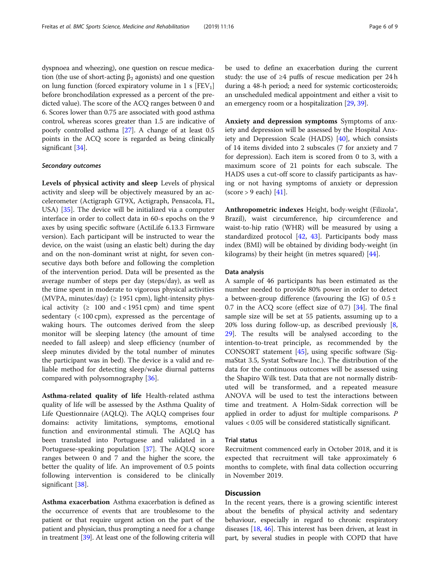dyspnoea and wheezing), one question on rescue medication (the use of short-acting  $\beta_2$  agonists) and one question on lung function (forced expiratory volume in 1 s  $[FEV<sub>1</sub>]$ before bronchodilation expressed as a percent of the predicted value). The score of the ACQ ranges between 0 and 6. Scores lower than 0.75 are associated with good asthma control, whereas scores greater than 1.5 are indicative of poorly controlled asthma [\[27](#page-7-0)]. A change of at least 0.5 points in the ACQ score is regarded as being clinically significant [\[34\]](#page-7-0).

# Secondary outcomes

Levels of physical activity and sleep Levels of physical activity and sleep will be objectively measured by an accelerometer (Actigraph GT9X, Actigraph, Pensacola, FL, USA) [[35\]](#page-7-0). The device will be initialized via a computer interface in order to collect data in 60-s epochs on the 9 axes by using specific software (ActiLife 6.13.3 Firmware version). Each participant will be instructed to wear the device, on the waist (using an elastic belt) during the day and on the non-dominant wrist at night, for seven consecutive days both before and following the completion of the intervention period. Data will be presented as the average number of steps per day (steps/day), as well as the time spent in moderate to vigorous physical activities (MVPA, minutes/day)  $( \ge 1951$  cpm), light-intensity physical activity ( $\geq 100$  and < 1951 cpm) and time spent sedentary  $( $100 \text{ cm}$ ), expressed as the percentage of$ waking hours. The outcomes derived from the sleep monitor will be sleeping latency (the amount of time needed to fall asleep) and sleep efficiency (number of sleep minutes divided by the total number of minutes the participant was in bed). The device is a valid and reliable method for detecting sleep/wake diurnal patterns compared with polysomnography [[36\]](#page-7-0).

Asthma-related quality of life Health-related asthma quality of life will be assessed by the Asthma Quality of Life Questionnaire (AQLQ). The AQLQ comprises four domains: activity limitations, symptoms, emotional function and environmental stimuli. The AQLQ has been translated into Portuguese and validated in a Portuguese-speaking population [[37\]](#page-7-0). The AQLQ score ranges between 0 and 7 and the higher the score, the better the quality of life. An improvement of 0.5 points following intervention is considered to be clinically significant [[38](#page-7-0)].

Asthma exacerbation Asthma exacerbation is defined as the occurrence of events that are troublesome to the patient or that require urgent action on the part of the patient and physician, thus prompting a need for a change in treatment [\[39\]](#page-7-0). At least one of the following criteria will be used to define an exacerbation during the current study: the use of  $\geq 4$  puffs of rescue medication per 24 h during a 48-h period; a need for systemic corticosteroids; an unscheduled medical appointment and either a visit to an emergency room or a hospitalization [\[29](#page-7-0), [39](#page-7-0)].

Anxiety and depression symptoms Symptoms of anxiety and depression will be assessed by the Hospital Anxiety and Depression Scale (HADS) [\[40](#page-7-0)], which consists of 14 items divided into 2 subscales (7 for anxiety and 7 for depression). Each item is scored from 0 to 3, with a maximum score of 21 points for each subscale. The HADS uses a cut-off score to classify participants as having or not having symptoms of anxiety or depression  $\left(\text{score} > 9 \text{ each}\right) [41].$  $\left(\text{score} > 9 \text{ each}\right) [41].$  $\left(\text{score} > 9 \text{ each}\right) [41].$ 

Anthropometric indexes Height, body-weight (Filizola®, Brazil), waist circumference, hip circumference and waist-to-hip ratio (WHR) will be measured by using a standardized protocol [[42,](#page-7-0) [43](#page-8-0)]. Participants body mass index (BMI) will be obtained by dividing body-weight (in kilograms) by their height (in metres squared) [[44](#page-8-0)].

#### Data analysis

A sample of 46 participants has been estimated as the number needed to provide 80% power in order to detect a between-group difference (favouring the IG) of  $0.5 \pm$ 0.7 in the ACQ score (effect size of 0.7) [[34](#page-7-0)]. The final sample size will be set at 55 patients, assuming up to a 20% loss during follow-up, as described previously [\[8](#page-7-0), [29\]](#page-7-0). The results will be analysed according to the intention-to-treat principle, as recommended by the CONSORT statement [[45\]](#page-8-0), using specific software (SigmaStat 3.5, Systat Software Inc.). The distribution of the data for the continuous outcomes will be assessed using the Shapiro Wilk test. Data that are not normally distributed will be transformed, and a repeated measure ANOVA will be used to test the interactions between time and treatment. A Holm-Sidak correction will be applied in order to adjust for multiple comparisons. P values < 0.05 will be considered statistically significant.

# Trial status

Recruitment commenced early in October 2018, and it is expected that recruitment will take approximately 6 months to complete, with final data collection occurring in November 2019.

# **Discussion**

In the recent years, there is a growing scientific interest about the benefits of physical activity and sedentary behaviour, especially in regard to chronic respiratory diseases [[18](#page-7-0), [46](#page-8-0)]. This interest has been driven, at least in part, by several studies in people with COPD that have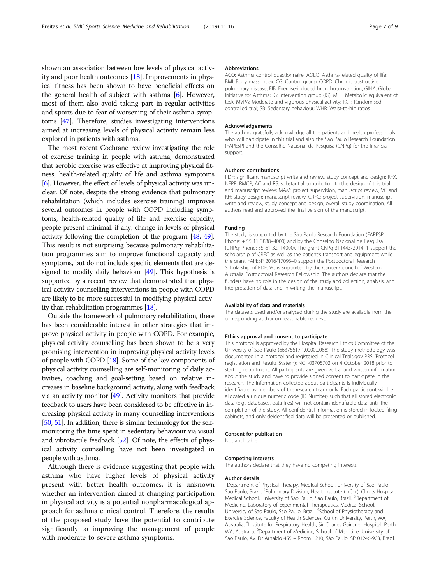shown an association between low levels of physical activity and poor health outcomes [[18](#page-7-0)]. Improvements in physical fitness has been shown to have beneficial effects on the general health of subject with asthma  $[6]$  $[6]$ . However, most of them also avoid taking part in regular activities and sports due to fear of worsening of their asthma symptoms [[47](#page-8-0)]. Therefore, studies investigating interventions aimed at increasing levels of physical activity remain less explored in patients with asthma.

The most recent Cochrane review investigating the role of exercise training in people with asthma, demonstrated that aerobic exercise was effective at improving physical fitness, health-related quality of life and asthma symptoms [[6](#page-7-0)]. However, the effect of levels of physical activity was unclear. Of note, despite the strong evidence that pulmonary rehabilitation (which includes exercise training) improves several outcomes in people with COPD including symptoms, health-related quality of life and exercise capacity, people present minimal, if any, change in levels of physical activity following the completion of the program [[48](#page-8-0), [49](#page-8-0)]. This result is not surprising because pulmonary rehabilitation programmes aim to improve functional capacity and symptoms, but do not include specific elements that are designed to modify daily behaviour [\[49\]](#page-8-0). This hypothesis is supported by a recent review that demonstrated that physical activity counselling interventions in people with COPD are likely to be more successful in modifying physical activity than rehabilitation programmes [[18\]](#page-7-0).

Outside the framework of pulmonary rehabilitation, there has been considerable interest in other strategies that improve physical activity in people with COPD. For example, physical activity counselling has been shown to be a very promising intervention in improving physical activity levels of people with COPD [\[18](#page-7-0)]. Some of the key components of physical activity counselling are self-monitoring of daily activities, coaching and goal-setting based on relative increases in baseline background activity, along with feedback via an activity monitor [[49](#page-8-0)]. Activity monitors that provide feedback to users have been considered to be effective in increasing physical activity in many counselling interventions [[50](#page-8-0), [51](#page-8-0)]. In addition, there is similar technology for the selfmonitoring the time spent in sedentary behaviour via visual and vibrotactile feedback [\[52\]](#page-8-0). Of note, the effects of physical activity counselling have not been investigated in people with asthma.

Although there is evidence suggesting that people with asthma who have higher levels of physical activity present with better health outcomes, it is unknown whether an intervention aimed at changing participation in physical activity is a potential nonpharmacological approach for asthma clinical control. Therefore, the results of the proposed study have the potential to contribute significantly to improving the management of people with moderate-to-severe asthma symptoms.

#### Abbreviations

ACQ: Asthma control questionnaire; AQLQ: Asthma-related quality of life; BMI: Body mass index; CG: Control group; COPD: Chronic obstructive pulmonary disease; EIB: Exercise-induced bronchoconstriction; GINA: Global Initiative for Asthma; IG: Intervention group (IG); MET: Metabolic equivalent of task; MVPA: Moderate and vigorous physical activity; RCT: Randomised controlled trial; SB: Sedentary behaviour; WHR: Waist-to-hip ratios

#### Acknowledgements

The authors gratefully acknowledge all the patients and health professionals who will participate in this trial and also the Sao Paulo Research Foundation (FAPESP) and the Conselho Nacional de Pesquisa (CNPq) for the financial support.

#### Authors' contributions

PDF: significant manuscript write and review, study concept and design; RFX, NFPP, RMCP, AC and RS: substantial contribution to the design of this trial and manuscript review; MAM: project supervision, manuscript review; VC and KH: study design; manuscript review; CRFC: project supervision, manuscript write and review, study concept and design; overall study coordination. All authors read and approved the final version of the manuscript.

#### Funding

The study is supported by the São Paulo Research Foundation (FAPESP; Phone: + 55 11 3838–4000) and by the Conselho Nacional de Pesquisa (CNPq; Phone: 55 61 32114000). The grant CNPq 311443/2014–1 support the scholarship of CRFC as well as the patient's transport and equipment while the grant FAPESP 2016/17093–0 support the Postdoctoral Research Scholarship of PDF. VC is supported by the Cancer Council of Western Australia Postdoctoral Research Fellowship. The authors declare that the funders have no role in the design of the study and collection, analysis, and interpretation of data and in writing the manuscript.

## Availability of data and materials

The datasets used and/or analysed during the study are available from the corresponding author on reasonable request.

#### Ethics approval and consent to participate

This protocol is approved by the Hospital Research Ethics Committee of the University of Sao Paulo (66375617.1.0000.0068). The study methodology was documented in a protocol and registered in Clinical Trials.gov PRS (Protocol registration and Results System): NCT-03705702 on 4 October 2018 prior to starting recruitment. All participants are given verbal and written information about the study and have to provide signed consent to participate in the research. The information collected about participants is individually identifiable by members of the research team only. Each participant will be allocated a unique numeric code (ID Number) such that all stored electronic data (e.g., databases, data files) will not contain identifiable data until the completion of the study. All confidential information is stored in locked filing cabinets, and only deidentified data will be presented or published.

#### Consent for publication

Not applicable

#### Competing interests

The authors declare that they have no competing interests.

#### Author details

<sup>1</sup>Department of Physical Therapy, Medical School, University of Sao Paulo, Sao Paulo, Brazil. <sup>2</sup>Pulmonary Division, Heart Institute (InCor), Clinics Hospital, Medical School, University of Sao Paulo, Sao Paulo, Brazil. <sup>3</sup>Department of Medicine, Laboratory of Experimental Therapeutics, Medical School, University of Sao Paulo, Sao Paulo, Brazil. <sup>4</sup>School of Physiotherapy and Exercise Science, Faculty of Health Sciences, Curtin University, Perth, WA, Australia. <sup>5</sup>Institute for Respiratory Health, Sir Charles Gairdner Hospital, Perth, WA, Australia. <sup>6</sup>Department of Medicine, School of Medicine, University of Sao Paulo, Av. Dr Arnaldo 455 – Room 1210, São Paulo, SP 01246-903, Brazil.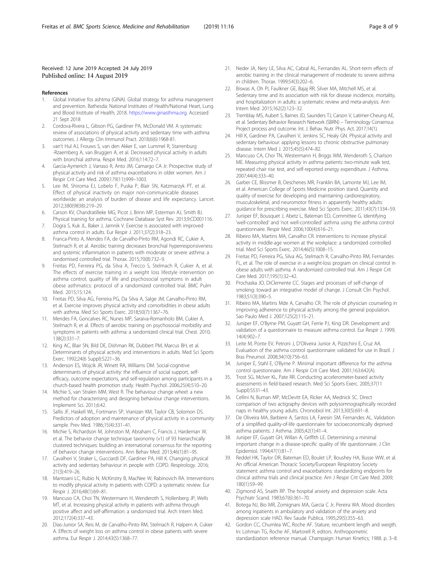#### <span id="page-7-0"></span>Received: 12 June 2019 Accepted: 24 July 2019 Published online: 14 August 2019

#### References

- 1. Global Initiative fos ashtma (GINA). Global strategy for asthma management and prevention. Bathesda: National Institutes of Health/National Heart, Lung and Blood Institute of Health; 2018. [https://www.ginasthma.org.](https://www.ginasthma.org) Accessed 21 Sept 2018
- 2. Cordova-Rivera L, Gibson PG, Gardiner PA, McDonald VM. A systematic review of associations of physical activity and sedentary time with asthma outcomes. J Allergy Clin Immunol Pract. 2018;6(6):1968-81.
- van't Hul AJ, Frouws S, van den Akker E, van Lummel R, Starrenburg -Rzaemberg A, van Bruggen A, et al. Decreased physical activity in adults with bronchial asthma. Respir Med. 2016;114:72–7.
- 4. Garcia-Aymerich J, Varraso R, Anto JM, Camargo CA Jr. Prospective study of physical activity and risk of asthma exacerbations in older women. Am J Respir Crit Care Med. 2009;179(11):999–1003.
- Lee IM, Shiroma EJ, Lobelo F, Puska P, Blair SN, Katzmarzyk PT, et al. Effect of physical inactivity on major non-communicable diseases worldwide: an analysis of burden of disease and life expectancy. Lancet. 2012;380(9838):219–29.
- 6. Carson KV, Chandratilleke MG, Picot J, Brinn MP, Esterman AJ, Smith BJ. Physical training for asthma. Cochrane Database Syst Rev. 2013;9:CD001116.
- 7. Dogra S, Kuk JL, Baker J, Jamnik V. Exercise is associated with improved asthma control in adults. Eur Respir J. 2011;37(2):318–23.
- 8. Franca-Pinto A, Mendes FA, de Carvalho-Pinto RM, Agondi RC, Cukier A, Stelmach R, et al. Aerobic training decreases bronchial hyperresponsiveness and systemic inflammation in patients with moderate or severe asthma: a randomised controlled trial. Thorax. 2015;70(8):732–9.
- 9. Freitas PD, Ferreira PG, da Silva A, Trecco S, Stelmach R, Cukier A, et al. The effects of exercise training in a weight loss lifestyle intervention on asthma control, quality of life and psychosocial symptoms in adult obese asthmatics: protocol of a randomized controlled trial. BMC Pulm Med. 2015;15:124.
- 10. Freitas PD, Silva AG, Ferreira PG, Da Silva A, Salge JM, Carvalho-Pinto RM, et al. Exercise improves physical activity and comorbidities in obese adults with asthma. Med Sci Sports Exerc. 2018;50(7):1367–76.
- 11. Mendes FA, Goncalves RC, Nunes MP, Saraiva-Romanholo BM, Cukier A, Stelmach R, et al. Effects of aerobic training on psychosocial morbidity and symptoms in patients with asthma: a randomized clinical trial. Chest. 2010; 138(2):331–7.
- 12. King AC, Blair SN, Bild DE, Dishman RK, Dubbert PM, Marcus BH, et al. Determinants of physical activity and interventions in adults. Med Sci Sports Exerc. 1992;24(6 Suppl):S221–36.
- 13. Anderson ES, Wojcik JR, Winett RA, Williams DM. Social-cognitive determinants of physical activity: the influence of social support, selfefficacy, outcome expectations, and self-regulation among participants in a church-based health promotion study. Health Psychol. 2006;25(4):510–20.
- 14. Michie S, van Stralen MM, West R. The behaviour change wheel: a new method for characterising and designing behaviour change interventions. Implement Sci. 2011;6:42.
- 15. Sallis JF, Haskell WL, Fortmann SP, Vranizan KM, Taylor CB, Solomon DS. Predictors of adoption and maintenance of physical activity in a community sample. Prev Med. 1986;15(4):331–41.
- 16. Michie S, Richardson M, Johnston M, Abraham C, Francis J, Hardeman W, et al. The behavior change technique taxonomy (v1) of 93 hierarchically clustered techniques: building an international consensus for the reporting of behavior change interventions. Ann Behav Med. 2013;46(1):81–95.
- 17. Cavalheri V, Straker L, Gucciardi DF, Gardiner PA, Hill K. Changing physical activity and sedentary behaviour in people with COPD. Respirology. 2016; 21(3):419–26.
- 18. Mantoani LC, Rubio N, McKinstry B, MacNee W, Rabinovich RA. Interventions to modify physical activity in patients with COPD: a systematic review. Eur Respir J. 2016;48(1):69–81.
- 19. Mancuso CA, Choi TN, Westermann H, Wenderoth S, Hollenberg JP, Wells MT, et al. Increasing physical activity in patients with asthma through positive affect and self-affirmation: a randomized trial. Arch Intern Med. 2012;172(4):337–43.
- 20. Dias-Junior SA, Reis M, de Carvalho-Pinto RM, Stelmach R, Halpern A, Cukier A. Effects of weight loss on asthma control in obese patients with severe asthma. Eur Respir J. 2014;43(5):1368–77.
- 21. Neder JA, Nery LE, Silva AC, Cabral AL, Fernandes AL. Short-term effects of aerobic training in the clinical management of moderate to severe asthma in children. Thorax. 1999;54(3):202–6.
- 22. Biswas A, Oh PI, Faulkner GE, Bajaj RR, Silver MA, Mitchell MS, et al. Sedentary time and its association with risk for disease incidence, mortality, and hospitalization in adults: a systematic review and meta-analysis. Ann Intern Med. 2015;162(2):123–32.
- 23. Tremblay MS, Aubert S, Barnes JD, Saunders TJ, Carson V, Latimer-Cheung AE, et al. Sedentary Behavior Research Network (SBRN) – Terminology Consensus Project process and outcome. Int. J. Behav. Nutr. Phys. Act. 2017;14(1).
- 24. Hill K, Gardiner PA, Cavalheri V, Jenkins SC, Healy GN. Physical activity and sedentary behaviour: applying lessons to chronic obstructive pulmonary disease. Intern Med J. 2015;45(5):474–82.
- 25. Mancuso CA, Choi TN, Westermann H, Briggs WM, Wenderoth S, Charlson ME. Measuring physical activity in asthma patients: two-minute walk test, repeated chair rise test, and self-reported energy expenditure. J Asthma. 2007;44(4):333–40.
- 26. Garber CE, Blissmer B, Deschenes MR, Franklin BA, Lamonte MJ, Lee IM, et al. American College of Sports Medicine position stand. Quantity and quality of exercise for developing and maintaining cardiorespiratory, musculoskeletal, and neuromotor fitness in apparently healthy adults: guidance for prescribing exercise. Med Sci Sports Exerc. 2011;43(7):1334–59.
- 27. Juniper EF, Bousquet J, Abetz L, Bateman ED, Committee G. Identifying 'well-controlled' and 'not well-controlled' asthma using the asthma control questionnaire. Respir Med. 2006;100(4):616–21.
- 28. Ribeiro MA, Martins MA, Carvalho CR. Interventions to increase physical activity in middle-age women at the workplace: a randomized controlled trial. Med Sci Sports Exerc. 2014;46(5):1008–15.
- 29. Freitas PD, Ferreira PG, Silva AG, Stelmach R, Carvalho-Pinto RM, Fernandes FL, et al. The role of exercise in a weight-loss program on clinical control in obese adults with asthma. A randomized controlled trial. Am J Respir Crit Care Med. 2017;195(1):32–42.
- 30. Prochaska JO, DiClemente CC. Stages and processes of self-change of smoking: toward an integrative model of change. J Consult Clin Psychol. 1983;51(3):390–5.
- 31. Ribeiro MA, Martins Mde A, Carvalho CR. The role of physician counseling in improving adherence to physical activity among the general population. Sao Paulo Med J. 2007;125(2):115–21.
- 32. Juniper EF, O'Byrne PM, Guyatt GH, Ferrie PJ, King DR. Development and validation of a questionnaire to measure asthma control. Eur Respir J. 1999; 14(4):902–7.
- 33. Leite M, Ponte EV, Petroni J, D'Oliveira Junior A, Pizzichini E, Cruz AA. Evaluation of the asthma control questionnaire validated for use in Brazil. J Bras Pneumol. 2008;34(10):756–63.
- 34. Juniper E, Stahl E, O'Byrne P. Minimal important difference for the asthma control questionnaire. Am J Respir Crit Care Med. 2001;163:642(A).
- 35. Trost SG, McIver KL, Pate RR. Conducting accelerometer-based activity assessments in field-based research. Med Sci Sports Exerc. 2005;37(11 Suppl):S531–43.
- 36. Cellini N, Buman MP, McDevitt EA, Ricker AA, Mednick SC. Direct comparison of two actigraphy devices with polysomnographically recorded naps in healthy young adults. Chronobiol Int. 2013;30(5):691–8.
- 37. De Oliveira MA, Barbiere A, Santos LA, Faresin SM, Fernandes AL. Validation of a simplified quality-of-life questionnaire for socioeconomically deprived asthma patients. J Asthma. 2005;42(1):41–4.
- 38. Juniper EF, Guyatt GH, Willan A, Griffith LE. Determining a minimal important change in a disease-specific quality of life questionnaire. J Clin Epidemiol. 1994;47(1):81–7.
- 39. Reddel HK, Taylor DR, Bateman ED, Boulet LP, Boushey HA, Busse WW, et al. An official American Thoracic Society/European Respiratory Society statement: asthma control and exacerbations: standardizing endpoints for clinical asthma trials and clinical practice. Am J Respir Crit Care Med. 2009; 180(1):59–99.
- 40. Zigmond AS, Snaith RP. The hospital anxiety and depression scale. Acta Psychiatr Scand. 1983;67(6):361–70.
- 41. Botega NJ, Bio MR, Zomignani MA, Garcia C Jr, Pereira WA. Mood disorders among inpatients in ambulatory and validation of the anxiety and depression scale HAD. Rev Saude Publica. 1995;29(5):355–63.
- 42. Gordon CC, Chumlea WC, Roche AF. Stature, recumbent length and weigth. In: Lohman TG, Roche AF, Martorell R, editors. Anthropometric standardization reference manual. Champaign: Human Kinetics; 1988. p. 3–8.